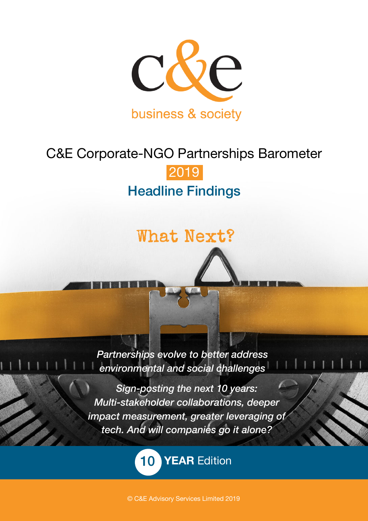

# C&E Corporate-NGO Partnerships Barometer 2019 Headline Findings

# What Next?

*Partnerships evolve to better address environmental and social challenges*

*Sign-posting the next 10 years: Multi-stakeholder collaborations, deeper impact measurement, greater leveraging of tech. And will companies go it alone?*

10 **YEAR** Edition

© C&E Advisory Services Limited 2019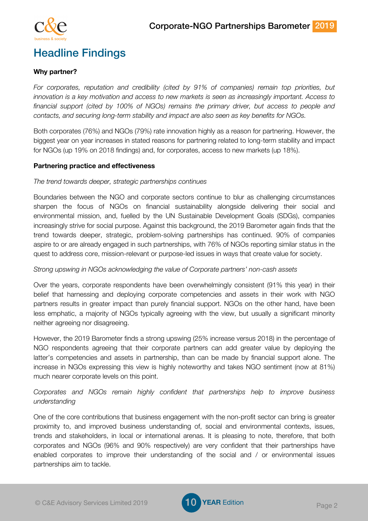

# Headline Findings

# **Why partner?**

*For corporates, reputation and credibility (cited by 91% of companies) remain top priorities, but innovation is a key motivation and access to new markets is seen as increasingly important. Access to financial support (cited by 100% of NGOs) remains the primary driver, but access to people and contacts, and securing long-term stability and impact are also seen as key benefits for NGOs.*

Both corporates (76%) and NGOs (79%) rate innovation highly as a reason for partnering. However, the biggest year on year increases in stated reasons for partnering related to long-term stability and impact for NGOs (up 19% on 2018 findings) and, for corporates, access to new markets (up 18%).

# **Partnering practice and effectiveness**

# *The trend towards deeper, strategic partnerships continues*

Boundaries between the NGO and corporate sectors continue to blur as challenging circumstances sharpen the focus of NGOs on financial sustainability alongside delivering their social and environmental mission, and, fuelled by the UN Sustainable Development Goals (SDGs), companies increasingly strive for social purpose. Against this background, the 2019 Barometer again finds that the trend towards deeper, strategic, problem-solving partnerships has continued. 90% of companies aspire to or are already engaged in such partnerships, with 76% of NGOs reporting similar status in the quest to address core, mission-relevant or purpose-led issues in ways that create value for society.

# *Strong upswing in NGOs acknowledging the value of Corporate partners' non-cash assets*

Over the years, corporate respondents have been overwhelmingly consistent (91% this year) in their belief that harnessing and deploying corporate competencies and assets in their work with NGO partners results in greater impact than purely financial support. NGOs on the other hand, have been less emphatic, a majority of NGOs typically agreeing with the view, but usually a significant minority neither agreeing nor disagreeing.

However, the 2019 Barometer finds a strong upswing (25% increase versus 2018) in the percentage of NGO respondents agreeing that their corporate partners can add greater value by deploying the latter's competencies and assets in partnership, than can be made by financial support alone. The increase in NGOs expressing this view is highly noteworthy and takes NGO sentiment (now at 81%) much nearer corporate levels on this point.

# *Corporates and NGOs remain highly confident that partnerships help to improve business understanding*

One of the core contributions that business engagement with the non-profit sector can bring is greater proximity to, and improved business understanding of, social and environmental contexts, issues, trends and stakeholders, in local or international arenas. It is pleasing to note, therefore, that both corporates and NGOs (96% and 90% respectively) are very confident that their partnerships have enabled corporates to improve their understanding of the social and / or environmental issues partnerships aim to tackle.

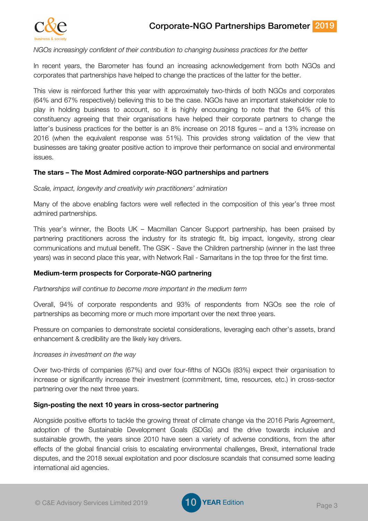

#### *NGOs increasingly confident of their contribution to changing business practices for the better*

In recent years, the Barometer has found an increasing acknowledgement from both NGOs and corporates that partnerships have helped to change the practices of the latter for the better.

This view is reinforced further this year with approximately two-thirds of both NGOs and corporates (64% and 67% respectively) believing this to be the case. NGOs have an important stakeholder role to play in holding business to account, so it is highly encouraging to note that the 64% of this constituency agreeing that their organisations have helped their corporate partners to change the latter's business practices for the better is an 8% increase on 2018 figures – and a 13% increase on 2016 (when the equivalent response was 51%). This provides strong validation of the view that businesses are taking greater positive action to improve their performance on social and environmental issues.

# **The stars – The Most Admired corporate-NGO partnerships and partners**

*Scale, impact, longevity and creativity win practitioners' admiration* 

Many of the above enabling factors were well reflected in the composition of this year's three most admired partnerships.

This year's winner, the Boots UK – Macmillan Cancer Support partnership, has been praised by partnering practitioners across the industry for its strategic fit, big impact, longevity, strong clear communications and mutual benefit. The GSK - Save the Children partnership (winner in the last three years) was in second place this year, with Network Rail - Samaritans in the top three for the first time.

#### **Medium-term prospects for Corporate-NGO partnering**

#### *Partnerships will continue to become more important in the medium term*

Overall, 94% of corporate respondents and 93% of respondents from NGOs see the role of partnerships as becoming more or much more important over the next three years.

Pressure on companies to demonstrate societal considerations, leveraging each other's assets, brand enhancement & credibility are the likely key drivers.

#### *Increases in investment on the way*

Over two-thirds of companies (67%) and over four-fifths of NGOs (83%) expect their organisation to increase or significantly increase their investment (commitment, time, resources, etc.) in cross-sector partnering over the next three years.

#### **Sign-posting the next 10 years in cross-sector partnering**

Alongside positive efforts to tackle the growing threat of climate change via the 2016 Paris Agreement, adoption of the Sustainable Development Goals (SDGs) and the drive towards inclusive and sustainable growth, the years since 2010 have seen a variety of adverse conditions, from the after effects of the global financial crisis to escalating environmental challenges, Brexit, international trade disputes, and the 2018 sexual exploitation and poor disclosure scandals that consumed some leading international aid agencies.

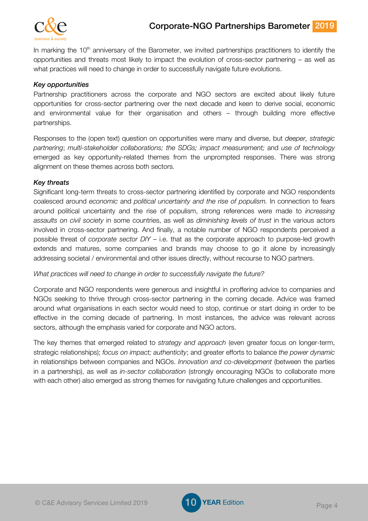

In marking the  $10<sup>th</sup>$  anniversary of the Barometer, we invited partnerships practitioners to identify the opportunities and threats most likely to impact the evolution of cross-sector partnering – as well as what practices will need to change in order to successfully navigate future evolutions.

# *Key opportunities*

Partnership practitioners across the corporate and NGO sectors are excited about likely future opportunities for cross-sector partnering over the next decade and keen to derive social, economic and environmental value for their organisation and others – through building more effective partnerships.

Responses to the (open text) question on opportunities were many and diverse, but *deeper, strategic partnering*; *multi-stakeholder collaborations; the SDGs; impact measurement;* and *use of technology* emerged as key opportunity-related themes from the unprompted responses. There was strong alignment on these themes across both sectors.

#### *Key threats*

Significant long-term threats to cross-sector partnering identified by corporate and NGO respondents coalesced around *economic* and *political uncertainty and the rise of populism.* In connection to fears around political uncertainty and the rise of populism, strong references were made to *increasing assaults on civil society* in some countries, as well as *diminishing levels of trust* in the various actors involved in cross-sector partnering. And finally, a notable number of NGO respondents perceived a possible threat of *corporate sector DIY* – i.e. that as the corporate approach to purpose-led growth extends and matures, some companies and brands may choose to go it alone by increasingly addressing societal / environmental and other issues directly, without recourse to NGO partners.

#### *What practices will need to change in order to successfully navigate the future?*

Corporate and NGO respondents were generous and insightful in proffering advice to companies and NGOs seeking to thrive through cross-sector partnering in the coming decade. Advice was framed around what organisations in each sector would need to stop, continue or start doing in order to be effective in the coming decade of partnering. In most instances, the advice was relevant across sectors, although the emphasis varied for corporate and NGO actors.

The key themes that emerged related to *strategy and approach* (even greater focus on longer-term, strategic relationships); *focus on impact; authenticity*; and greater efforts to balance *the power dynamic* in relationships between companies and NGOs. *Innovation and co-development* (between the parties in a partnership), as well as *in-sector collaboration* (strongly encouraging NGOs to collaborate more with each other) also emerged as strong themes for navigating future challenges and opportunities.

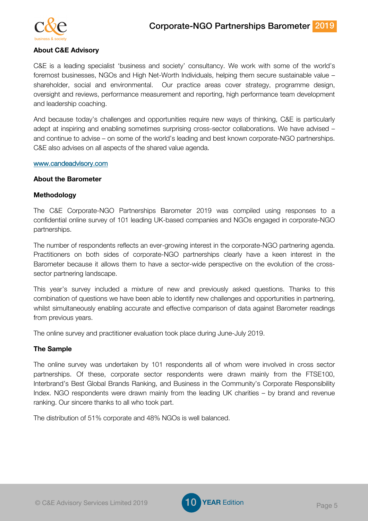

# **About C&E Advisory**

C&E is a leading specialist 'business and society' consultancy. We work with some of the world's foremost businesses, NGOs and High Net-Worth Individuals, helping them secure sustainable value – shareholder, social and environmental. Our practice areas cover strategy, programme design, oversight and reviews, performance measurement and reporting, high performance team development and leadership coaching.

And because today's challenges and opportunities require new ways of thinking, C&E is particularly adept at inspiring and enabling sometimes surprising cross-sector collaborations. We have advised – and continue to advise – on some of the world's leading and best known corporate-NGO partnerships. C&E also advises on all aspects of the shared value agenda.

#### www.candeadvisory.com

#### **About the Barometer**

#### **Methodology**

The C&E Corporate-NGO Partnerships Barometer 2019 was compiled using responses to a confidential online survey of 101 leading UK-based companies and NGOs engaged in corporate-NGO partnerships.

The number of respondents reflects an ever-growing interest in the corporate-NGO partnering agenda. Practitioners on both sides of corporate-NGO partnerships clearly have a keen interest in the Barometer because it allows them to have a sector-wide perspective on the evolution of the crosssector partnering landscape.

This year's survey included a mixture of new and previously asked questions. Thanks to this combination of questions we have been able to identify new challenges and opportunities in partnering, whilst simultaneously enabling accurate and effective comparison of data against Barometer readings from previous years.

The online survey and practitioner evaluation took place during June-July 2019.

#### **The Sample**

The online survey was undertaken by 101 respondents all of whom were involved in cross sector partnerships. Of these, corporate sector respondents were drawn mainly from the FTSE100, Interbrand's Best Global Brands Ranking, and Business in the Community's Corporate Responsibility Index. NGO respondents were drawn mainly from the leading UK charities – by brand and revenue ranking. Our sincere thanks to all who took part.

The distribution of 51% corporate and 48% NGOs is well balanced.

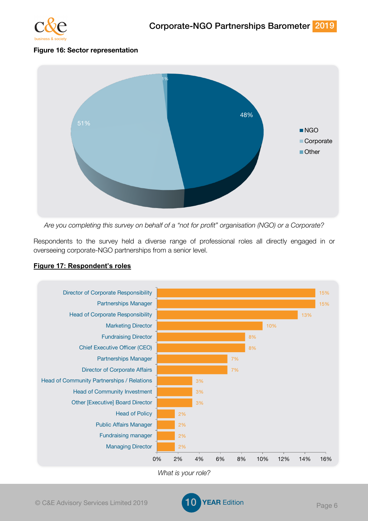

# **Figure 16: Sector representation**



*Are you completing this survey on behalf of a "not for profit" organisation (NGO) or a Corporate?*

Respondents to the survey held a diverse range of professional roles all directly engaged in or overseeing corporate-NGO partnerships from a senior level.



# **Figure 17: Respondent's roles**

*What is your role?*